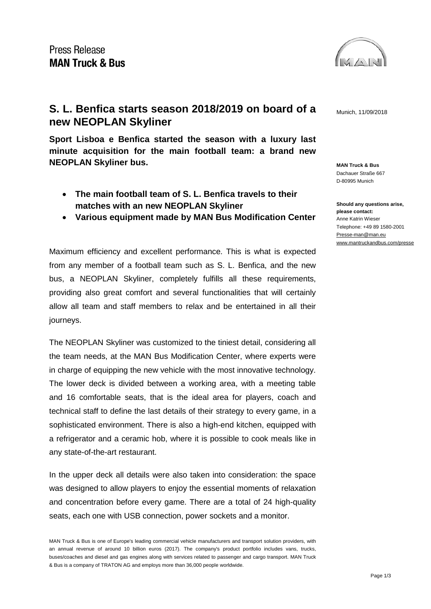

**MAN Truck & Bus** Dachauer Straße 667 D-80995 Munich

**Should any questions arise, please contact:** Anne Katrin Wieser Telephone: +49 89 1580-2001 [Presse-man@man.eu](mailto:Presse-man@man.eu) [www.mantruckandbus.com/presse](http://www.mantruckandbus.com/presse)

## **S. L. Benfica starts season 2018/2019 on board of a** Munich, 11/09/2018 **new NEOPLAN Skyliner**

**Sport Lisboa e Benfica started the season with a luxury last minute acquisition for the main football team: a brand new NEOPLAN Skyliner bus.** 

- **The main football team of S. L. Benfica travels to their matches with an new NEOPLAN Skyliner**
- **Various equipment made by MAN Bus Modification Center**

Maximum efficiency and excellent performance. This is what is expected from any member of a football team such as S. L. Benfica, and the new bus, a NEOPLAN Skyliner, completely fulfills all these requirements, providing also great comfort and several functionalities that will certainly allow all team and staff members to relax and be entertained in all their journeys.

The NEOPLAN Skyliner was customized to the tiniest detail, considering all the team needs, at the MAN Bus Modification Center, where experts were in charge of equipping the new vehicle with the most innovative technology. The lower deck is divided between a working area, with a meeting table and 16 comfortable seats, that is the ideal area for players, coach and technical staff to define the last details of their strategy to every game, in a sophisticated environment. There is also a high-end kitchen, equipped with a refrigerator and a ceramic hob, where it is possible to cook meals like in any state-of-the-art restaurant.

In the upper deck all details were also taken into consideration: the space was designed to allow players to enjoy the essential moments of relaxation and concentration before every game. There are a total of 24 high-quality seats, each one with USB connection, power sockets and a monitor.

MAN Truck & Bus is one of Europe's leading commercial vehicle manufacturers and transport solution providers, with an annual revenue of around 10 billion euros (2017). The company's product portfolio includes vans, trucks, buses/coaches and diesel and gas engines along with services related to passenger and cargo transport. MAN Truck & Bus is a company of TRATON AG and employs more than 36,000 people worldwide.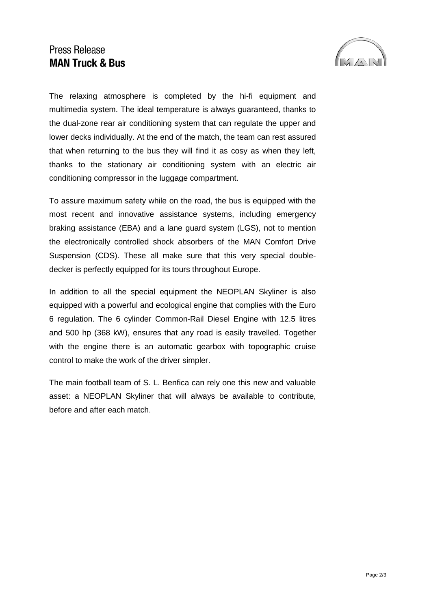## **Press Release MAN Truck & Bus**



The relaxing atmosphere is completed by the hi-fi equipment and multimedia system. The ideal temperature is always guaranteed, thanks to the dual-zone rear air conditioning system that can regulate the upper and lower decks individually. At the end of the match, the team can rest assured that when returning to the bus they will find it as cosy as when they left, thanks to the stationary air conditioning system with an electric air conditioning compressor in the luggage compartment.

To assure maximum safety while on the road, the bus is equipped with the most recent and innovative assistance systems, including emergency braking assistance (EBA) and a lane guard system (LGS), not to mention the electronically controlled shock absorbers of the MAN Comfort Drive Suspension (CDS). These all make sure that this very special doubledecker is perfectly equipped for its tours throughout Europe.

In addition to all the special equipment the NEOPLAN Skyliner is also equipped with a powerful and ecological engine that complies with the Euro 6 regulation. The 6 cylinder Common-Rail Diesel Engine with 12.5 litres and 500 hp (368 kW), ensures that any road is easily travelled. Together with the engine there is an automatic gearbox with topographic cruise control to make the work of the driver simpler.

The main football team of S. L. Benfica can rely one this new and valuable asset: a NEOPLAN Skyliner that will always be available to contribute, before and after each match.